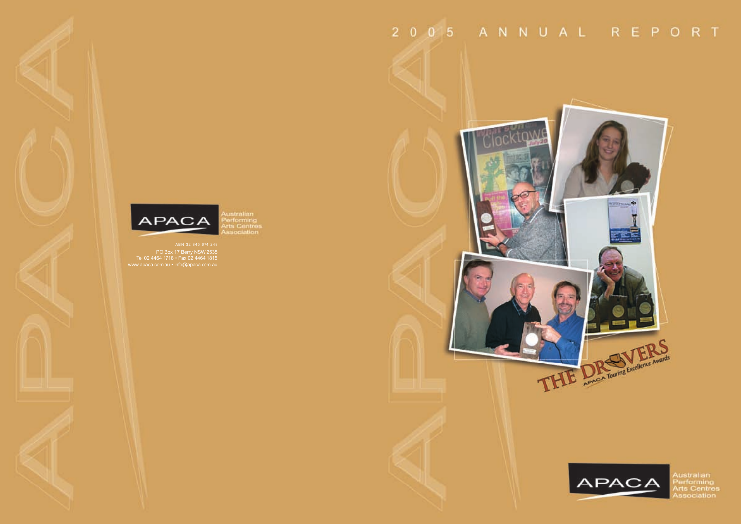untralian<br>lerforming<br>irts Centres<br>issociation

PO Box 17 Berry NSW 2535 Tel 02 4464 1718 • Fax 02 4464 1815 www.apaca.com.au • info@apaca.com.au

# 2 0 0 5 A N N U A L R E P O R T





Australian<br>Performing<br>Arts Centres<br>Association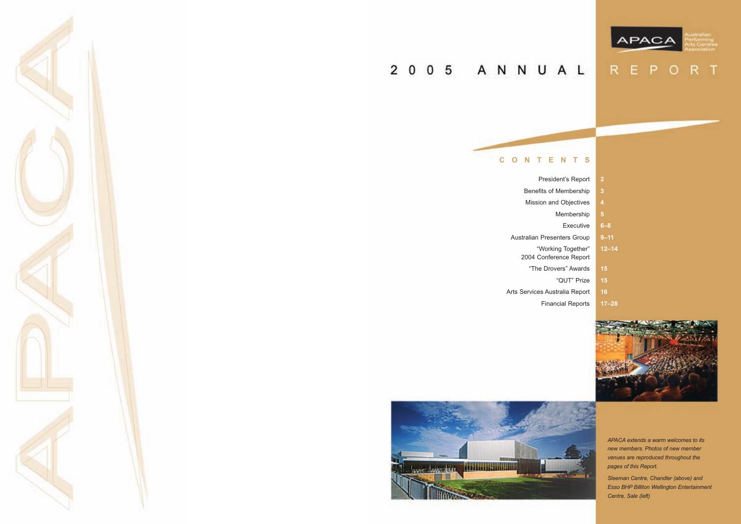

# 2 0 0 5 A N N U A L



Benefits of Membership Mission and Objectives

President's Report Membership Executive Australian Presenters Group "Working Together" "The Drovers" Awards "QUT" Prize Financial Reports

2004 Conference Report

Arts Services Australia Report





# REPORT

| $\overline{2}$ |   |
|----------------|---|
| 3              |   |
| 4              |   |
| 5              |   |
| $6 - 8$        |   |
| $9 - 11$       |   |
| $12 - 14$      |   |
|                |   |
| 15             |   |
| 15             |   |
| 16             |   |
| $17 - 28$      |   |
| ×              | N |



*APACA extends a warm welcomes to its new members. Photos of new member venues are reproduced throughout the pages of this Report.*

*Sleeman Centre, Chandler (above) and Esso BHP Billiton Wellington Entertainment Centre, Sale (left)*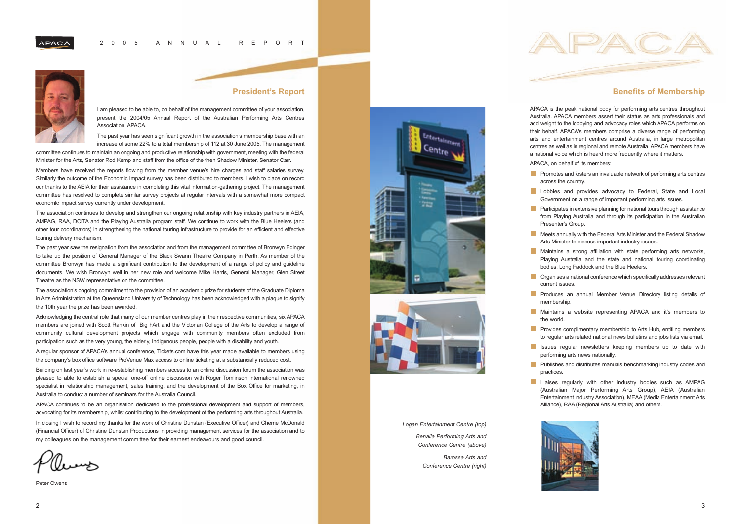### **President's Report**

I am pleased to be able to, on behalf of the management committee of your association, present the 2004/05 Annual Report of the Australian Performing Arts Centres Association, APACA.

The past year has seen significant growth in the association's membership base with an increase of some 22% to a total membership of 112 at 30 June 2005. The management

committee continues to maintain an ongoing and productive relationship with government, meeting with the federal Minister for the Arts, Senator Rod Kemp and staff from the office of the then Shadow Minister, Senator Carr.

Members have received the reports flowing from the member venue's hire charges and staff salaries survey. Similarly the outcome of the Economic Impact survey has been distributed to members. I wish to place on record our thanks to the AEIA for their assistance in completing this vital information-gathering project. The management committee has resolved to complete similar survey projects at regular intervals with a somewhat more compact economic impact survey currently under development.

The association continues to develop and strengthen our ongoing relationship with key industry partners in AEIA, AMPAG, RAA, DCITA and the Playing Australia program staff. We continue to work with the Blue Heelers (and other tour coordinators) in strengthening the national touring infrastructure to provide for an efficient and effective touring delivery mechanism.

The past year saw the resignation from the association and from the management committee of Bronwyn Edinger to take up the position of General Manager of the Black Swann Theatre Company in Perth. As member of the committee Bronwyn has made a significant contribution to the development of a range of policy and guideline documents. We wish Bronwyn well in her new role and welcome Mike Harris, General Manager, Glen Street Theatre as the NSW representative on the committee.

The association's ongoing commitment to the provision of an academic prize for students of the Graduate Diploma in Arts Administration at the Queensland University of Technology has been acknowledged with a plaque to signify the 10th year the prize has been awarded.

Acknowledging the central role that many of our member centres play in their respective communities, six APACA members are joined with Scott Rankin of Big hArt and the Victorian College of the Arts to develop a range of community cultural development projects which engage with community members often excluded from participation such as the very young, the elderly, Indigenous people, people with a disability and youth.

A regular sponsor of APACA's annual conference, Tickets.com have this year made available to members using the company's box office software ProVenue Max access to online ticketing at a substancially reduced cost.

- **Promotes and fosters an invaluable network of performing arts centres** across the country.
- **Lobbies and provides advocacy to Federal, State and Local** Government on a range of important performing arts issues.
- **Participates in extensive planning for national tours through assistance** from Playing Australia and through its participation in the Australian Presenter's Group.
- Meets annually with the Federal Arts Minister and the Federal Shadow Arts Minister to discuss important industry issues.
- **Maintains a strong affiliation with state performing arts networks,** Playing Australia and the state and national touring coordinating bodies, Long Paddock and the Blue Heelers.
- **Organises a national conference which specifically addresses relevant**
- **Produces an annual Member Venue Directory listing details of**
- **Maintains a website representing APACA and it's members to**
- **Provides complimentary membership to Arts Hub, entitling members** to regular arts related national news bulletins and jobs lists via email.
- **In Issues regular newsletters keeping members up to date with** performing arts news nationally.



Building on last year's work in re-establishing members access to an online discussion forum the association was pleased to able to establish a special one-off online discussion with Roger Tomlinson international renowned specialist in relationship management, sales training, and the development of the Box Office for marketing, in Australia to conduct a number of seminars for the Australia Council.

APACA continues to be an organisation dedicated to the professional development and support of members, advocating for its membership, whilst contributing to the development of the performing arts throughout Australia.

In closing I wish to record my thanks for the work of Christine Dunstan (Executive Officer) and Cherrie McDonald (Financial Officer) of Christine Dunstan Productions in providing management services for the association and to my colleagues on the management committee for their earnest endeavours and good council.

Peter Owens



# **Benefits of Membership**

APACA is the peak national body for performing arts centres throughout Australia. APACA members assert their status as arts professionals and add weight to the lobbying and advocacy roles which APACA performs on their behalf. APACA's members comprise a diverse range of performing arts and entertainment centres around Australia, in large metropolitan centres as well as in regional and remote Australia. APACA members have a national voice which is heard more frequently where it matters.

APACA, on behalf of its members:

- 
- 
- 
- 
- 
- current issues.
- membership.
- the world.
- 
- 
- **Publishes and distributes manuals benchmarking industry codes and** practices.
- **Liaises regularly with other industry bodies such as AMPAG** (Australian Major Performing Arts Group), AEIA (Australian Entertainment Industry Association), MEAA (Media Entertainment Arts Alliance), RAA (Regional Arts Australia) and others.



#### *Logan Entertainment Centre (top)*

*Benalla Performing Arts and Conference Centre (above)*

> *Barossa Arts and Conference Centre (right)*

APACA



#### 2005 ANNUAL REPORT



**APACA**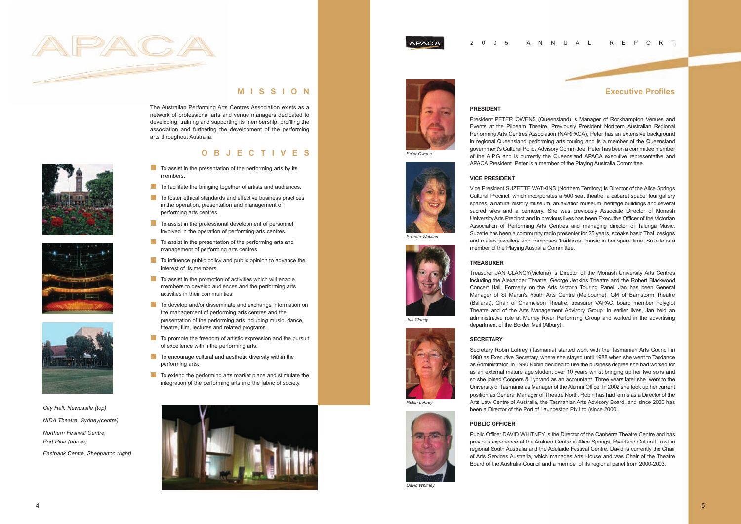

# **MISSION**

The Australian Performing Arts Centres Association exists as a network of professional arts and venue managers dedicated to developing, training and supporting its membership, profiling the association and furthering the development of the performing arts throughout Australia.

# **OBJECTIVES**

- $\blacksquare$  To assist in the presentation of the performing arts by its members.
- To facilitate the bringing together of artists and audiences.
- To foster ethical standards and effective business practices in the operation, presentation and management of performing arts centres.
- $\blacksquare$  To assist in the professional development of personnel involved in the operation of performing arts centres.
- To assist in the presentation of the performing arts and management of performing arts centres.
- To influence public policy and public opinion to advance the interest of its members.
- $\Box$  To assist in the promotion of activities which will enable members to develop audiences and the performing arts activities in their communities.
- To develop and/or disseminate and exchange information on the management of performing arts centres and the presentation of the performing arts including music, dance, theatre, film, lectures and related programs.
- To promote the freedom of artistic expression and the pursuit of excellence within the performing arts.
- To encourage cultural and aesthetic diversity within the performing arts.
- $\blacksquare$  To extend the performing arts market place and stimulate the integration of the performing arts into the fabric of society.





**APACA** 

### **Executive Profiles**

#### **PRESIDENT**

President PETER OWENS (Queensland) is Manager of Rockhampton Venues and Events at the Pilbeam Theatre. Previously President Northern Australian Regional Performing Arts Centres Association (NARPACA), Peter has an extensive background in regional Queensland performing arts touring and is a member of the Queensland government's Cultural Policy Advisory Committee. Peter has been a committee member of the A.P.G and is currently the Queensland APACA executive representative and APACA President. Peter is a member of the Playing Australia Committee.

#### **VICE PRESIDENT**

Vice President SUZETTE WATKINS (Northern Territory) is Director of the Alice Springs Cultural Precinct, which incorporates a 500 seat theatre, a cabaret space, four gallery spaces, a natural history museum, an aviation museum, heritage buildings and several sacred sites and a cemetery. She was previously Associate Director of Monash University Arts Precinct and in previous lives has been Executive Officer of the Victorian Association of Performing Arts Centres and managing director of Talunga Music. Suzette has been a community radio presenter for 25 years, speaks basic Thai, designs and makes jewellery and composes 'traditional' music in her spare time. Suzette is a member of the Playing Australia Committee.

#### **TREASURER**

Treasurer JAN CLANCY(Victoria) is Director of the Monash University Arts Centres including the Alexander Theatre, George Jenkins Theatre and the Robert Blackwood Concert Hall. Formerly on the Arts Victoria Touring Panel, Jan has been General Manager of St Martin's Youth Arts Centre (Melbourne), GM of Barnstorm Theatre (Ballarat), Chair of Chameleon Theatre, treasurer VAPAC, board member Polyglot Theatre and of the Arts Management Advisory Group. In earlier lives, Jan held an administrative role at Murray River Performing Group and worked in the advertising department of the Border Mail (Albury).

#### **SECRETARY**

Secretary Robin Lohrey (Tasmania) started work with the Tasmanian Arts Council in 1980 as Executive Secretary, where she stayed until 1988 when she went to Tasdance as Administrator. In 1990 Robin decided to use the business degree she had worked for as an external mature age student over 10 years whilst bringing up her two sons and so she joined Coopers & Lybrand as an accountant. Three years later she went to the University of Tasmania as Manager of the Alumni Office. In 2002 she took up her current position as General Manager of Theatre North. Robin has had terms as a Director of the Arts Law Centre of Australia, the Tasmanian Arts Advisory Board, and since 2000 has been a Director of the Port of Launceston Pty Ltd (since 2000).

#### **PUBLIC OFFICER**

Public Officer DAVID WHITNEY is the Director of the Canberra Theatre Centre and has previous experience at the Araluen Centre in Alice Springs, Riverland Cultural Trust in regional South Australia and the Adelaide Festival Centre. David is currently the Chair of Arts Services Australia, which manages Arts House and was Chair of the Theatre Board of the Australia Council and a member of its regional panel from 2000-2003.







*City Hall, Newcastle (top) NIDA Theatre, Sydney(centre) Northern Festival Centre, Port Pirie (above) Eastbank Centre, Shepparton (right)*













*Robin Lohrey*



**David Whitne**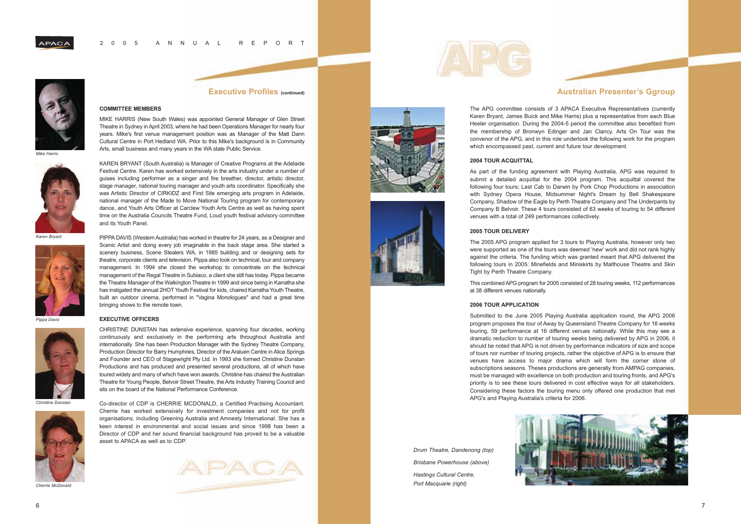### **Executive Profiles (continued)**

# **COMMITTEE MEMBERS**

MIKE HARRIS (New South Wales) was appointed General Manager of Glen Street Theatre in Sydney in April 2003, where he had been Operations Manager for nearly four years. Mike's first venue management position was as Manager of the Matt Dann Cultural Centre in Port Hedland WA. Prior to this Mike's background is in Community Arts, small business and many years in the WA state Public Service.

KAREN BRYANT (South Australia) is Manager of Creative Programs at the Adelaide Festival Centre. Karen has worked extensively in the arts industry under a number of guises including performer as a singer and fire breather, director, artistic director, stage manager, national touring manager and youth arts coordinator. Specifically she was Artistic Director of CIRKIDZ and First Site emerging arts program in Adelaide, national manager of the Made to Move National Touring program for contemporary dance, and Youth Arts Officer at Carclew Youth Arts Centre as well as having spent time on the Australia Councils Theatre Fund, Loud youth festival advisory committee and its Youth Panel.



Scenic Artist and doing every job imaginable in the back stage area. She started a scenery business, Scene Stealers WA, in 1985 building and or designing sets for theatre, corporate clients and television. Pippa also took on technical, tour and company management. In 1994 she closed the workshop to concentrate on the technical management of the Regal Theatre in Subiaco, a client she still has today. Pippa became the Theatre Manager of the Walkington Theatre in 1999 and since being in Karratha she has instigated the annual 2HOT Youth Festival for kids, chaired Karratha Youth Theatre, built an outdoor cinema, performed in "Vagina Monologues" and had a great time bringing shows to the remote town.

#### **EXECUTIVE OFFICERS**

CHRISTINE DUNSTAN has extensive experience, spanning four decades, working continuously and exclusively in the performing arts throughout Australia and internationally. She has been Production Manager with the Sydney Theatre Company, Production Director for Barry Humphries, Director of the Araluen Centre in Alice Springs and Founder and CEO of Stagewright Pty Ltd. In 1993 she formed Christine Dunstan Productions and has produced and presented several productions, all of which have toured widely and many of which have won awards. Christine has chaired the Australian Theatre for Young People, Belvoir Street Theatre, the Arts Industry Training Council and



Co-director of CDP is CHERRIE MCDONALD, a Certified Practising Accountant. Cherrie has worked extensively for investment companies and not for profit organisations, including Greening Australia and Amnesty International. She has a keen interest in environmental and social issues and since 1998 has been a Director of CDP and her sound financial background has proved to be a valuable asset to APACA as well as to CDP.









#### 2005 ANNUAL REPORT



**APACA** 

*Mike Harris*

*Karen Bryant*

*Pippa Davis*

*Christine Dunstan*



*Cherrie McDonald*

# **Australian Presenter's Ggroup**

The APG committee consists of 3 APACA Executive Representatives (currently Karen Bryant, James Buick and Mike Harris) plus a representative from each Blue Heeler organisation. During the 2004-5 period the committee also benefited from the membership of Bronwyn Edinger and Jan Clancy. Arts On Tour was the convenor of the APG, and in this role undertook the following work for the program which encompassed past, current and future tour development.

#### **2004 TOUR ACQUITTAL**

As part of the funding agreement with Playing Australia, APG was required to submit a detailed acquittal for the 2004 program. This acquittal covered the following four tours; Last Cab to Darwin by Pork Chop Productions in association with Sydney Opera House, Midsummer Night's Dream by Bell Shakespeare Company, Shadow of the Eagle by Perth Theatre Company and The Underpants by Company B Belvoir. These 4 tours consisted of 63 weeks of touring to 54 different venues with a total of 249 performances collectively.

#### **2005 TOUR DELIVERY**

The 2005 APG program applied for 3 tours to Playing Australia, however only two were supported as one of the tours was deemed 'new' work and did not rank highly against the criteria. The funding which was granted meant that APG delivered the following tours in 2005: Minefields and Miniskirts by Malthouse Theatre and Skin Tight by Perth Theatre Company.

This combined APG program for 2005 consisted of 28 touring weeks, 112 performances at 38 different venues nationally.

#### **2006 TOUR APPLICATION**

Submitted to the June 2005 Playing Australia application round, the APG 2006 program proposes the tour of Away by Queensland Theatre Company for 16 weeks touring, 59 performance at 16 different venues nationally. While this may see a dramatic reduction to number of touring weeks being delivered by APG in 2006, it should be noted that APG is not driven by performance indicators of size and scope of tours nor number of touring projects, rather the objective of APG is to ensure that venues have access to major drama which will form the corner stone of subscriptions seasons. Theses productions are generally from AMPAG companies, must be managed with excellence on both production and touring fronts, and APG's priority is to see these tours delivered in cost effective ways for all stakeholders. Considering these factors the touring menu only offered one production that met APG's and Playing Australia's criteria for 2006.

*Drum Theatre, Dandenong (top) Brisbane Powerhouse (above) Hastings Cultural Centre, Port Macquarie (right)*

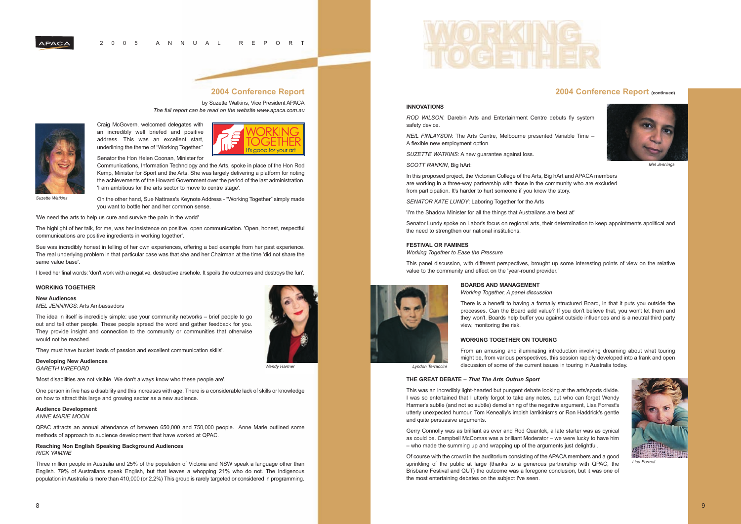## **2004 Conference Report**

by Suzette Watkins, Vice President APACA *The full report can be read on the website www.apaca.com.au*

Craig McGovern, welcomed delegates with an incredibly well briefed and positive address. This was an excellent start, underlining the theme of "Working Together."



Senator the Hon Helen Coonan, Minister for

Communications, Information Technology and the Arts, spoke in place of the Hon Rod Kemp, Minister for Sport and the Arts. She was largely delivering a platform for noting the achievements of the Howard Government over the period of the last administration. 'I am ambitious for the arts sector to move to centre stage'.

On the other hand, Sue Nattrass's Keynote Address - "Working Together" simply made you want to bottle her and her common sense.

'We need the arts to help us cure and survive the pain in the world'

The highlight of her talk, for me, was her insistence on positive, open communication. 'Open, honest, respectful communications are positive ingredients in working together'.

Sue was incredibly honest in telling of her own experiences, offering a bad example from her past experience. The real underlying problem in that particular case was that she and her Chairman at the time 'did not share the same value base'.

I loved her final words: 'don't work with a negative, destructive arsehole. It spoils the outcomes and destroys the fun'.

#### **WORKING TOGETHER**

**New Audiences**

*MEL JENNINGS:* Arts Ambassadors

The idea in itself is incredibly simple: use your community networks – brief people to go out and tell other people. These people spread the word and gather feedback for you. They provide insight and connection to the community or communities that otherwise would not be reached.

'They must have bucket loads of passion and excellent communication skills'.

#### **Developing New Audiences**

*GARETH WREFORD* 



'Most disabilities are not visible. We don't always know who these people are'.

One person in five has a disability and this increases with age. There is a considerable lack of skills or knowledge on how to attract this large and growing sector as a new audience.

#### **Audience Development**

*ANNE MARIE MOON*

QPAC attracts an annual attendance of between 650,000 and 750,000 people. Anne Marie outlined some methods of approach to audience development that have worked at QPAC.

#### **Reaching Non English Speaking Background Audiences** *RICK YAMINE*

Three million people in Australia and 25% of the population of Victoria and NSW speak a language other than English. 79% of Australians speak English, but that leaves a whopping 21% who do not. The Indigenous population in Australia is more than 410,000 (or 2.2%) This group is rarely targeted or considered in programming.



#### 2005 ANNUAL REPORT

## **2004 Conference Report (continued)**

#### **INNOVATIONS**

*ROD WILSON*: Darebin Arts and Entertainment Centre debuts fly system safety device.

*NEIL FINLAYSON*: The Arts Centre, Melbourne presented Variable Time – A flexible new employment option.

*SUZETTE WATKINS*: A new guarantee against loss.

*SCOTT RANKIN*, Big hArt:

In this proposed project, the Victorian College of the Arts, Big hArt and APACA members are working in a three-way partnership with those in the community who are excluded from participation. It's harder to hurt someone if you know the story.

*SENATOR KATE LUNDY*: Laboring Together for the Arts

'I'm the Shadow Minister for all the things that Australians are best at' Senator Lundy spoke on Labor's focus on regional arts, their determination to keep appointments apolitical and

the need to strengthen our national institutions.

#### **FESTIVAL OR FAMINES**

*Working Together to Ease the Pressure*

This panel discussion, with different perspectives, brought up some interesting points of view on the relative value to the community and effect on the 'year-round provider.'

#### **BOARDS AND MANAGEMENT**

*Working Together, A panel discussion*

There is a benefit to having a formally structured Board, in that it puts you outside the processes. Can the Board add value? If you don't believe that, you won't let them and they won't. Boards help buffer you against outside influences and is a neutral third party view, monitoring the risk.

#### **WORKING TOGETHER ON TOURING**

From an amusing and illuminating introduction involving dreaming about what touring might be, from various perspectives, this session rapidly developed into a frank and open discussion of some of the current issues in touring in Australia today.

#### **THE GREAT DEBATE –** *That The Arts Outrun Sport*

This was an incredibly light-hearted but pungent debate looking at the arts/sports divide. I was so entertained that I utterly forgot to take any notes, but who can forget Wendy Harmer's subtle (and not so subtle) demolishing of the negative argument, Lisa Forrest's utterly unexpected humour, Tom Keneally's impish larrikinisms or Ron Haddrick's gentle and quite persuasive arguments.

Gerry Connolly was as brilliant as ever and Rod Quantok, a late starter was as cynical as could be. Campbell McComas was a brilliant Moderator – we were lucky to have him – who made the summing up and wrapping up of the arguments just delightful.

Of course with the crowd in the auditorium consisting of the APACA members and a good sprinkling of the public at large (thanks to a generous partnership with QPAC, the Brisbane Festival and QUT) the outcome was a foregone conclusion, but it was one of the most entertaining debates on the subject I've seen.





*Mel Jennings*

*Suzette Watkins*

**APACA** 

*Wendy Harmer Lyndon Terraccini*

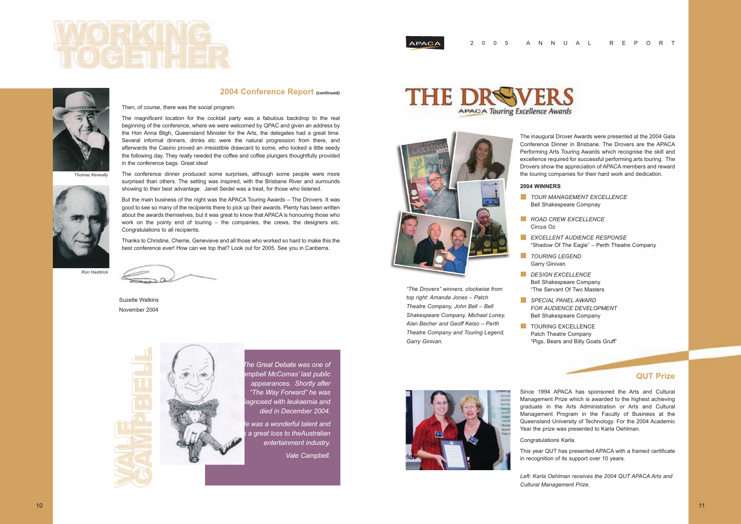

**HE DRSW** 

### **2004 Conference Report (continued)**

Then, of course, there was the social program.

The magnificent location for the cocktail party was a fabulous backdrop to the real beginning of the conference, where we were welcomed by QPAC and given an address by the Hon Anna Bligh, Queensland Minister for the Arts, the delegates had a great time. Several informal dinners, drinks etc were the natural progression from there, and afterwards the Casino proved an irresistible drawcard to some, who looked a little seedy the following day. They really needed the coffee and coffee plungers thoughtfully provided in the conference bags. Great idea!

The conference dinner produced some surprises, although some people were more surprised than others. The setting was inspired, with the Brisbane River and surrounds showing to their best advantage. Janet Seidel was a treat, for those who listened.

But the main business of the night was the APACA Touring Awards – The Drovers. It was good to see so many of the recipients there to pick up their awards. Plenty has been written about the awards themselves, but it was great to know that APACA is honouring those who work on the pointy end of touring – the companies, the crews, the designers etc. Congratulations to all recipients.

**TOUR MANAGEMENT EXCELLENCE** Bell Shakespeare Compnay

- 
- *ROAD CREW EXCELLENCE* Circus Oz
- *TOURING LEGEND*
- Garry Ginivan *DESIGN EXCELLENCE*
- *SPECIAL PANEL AWARD*
- TOURING EXCELLENCE



Thanks to Christine, Cherrie, Genevieve and all those who worked so hard to make this the best conference ever! How can we top that? Look out for 2005. See you in Canberra.

Suzette Watkins November 2004



*The Great Debate was one of Campbell McComas' last public appearances. Shortly after "The Way Forward" he was diagnosed with leukaemia and died in December 2004.*

*He was a wonderful talent and is a great loss to theAustralian entertainment industry. Vale Campbell.*



*Thomas Keneally*



*Ron Haddrick*

#### 2 005 ANNUAL REPORT



The inaugural Drover Awards were presented at the 2004 Gala Conference Dinner in Brisbane. The Drovers are the APACA Performing Arts Touring Awards which recognise the skill and excellence required for successful performing arts touring. The Drovers show the appreciation of APACA members and reward the touring companies for their hard work and dedication.

#### **2004 WINNERS**

*EXCELLENT AUDIENCE RESPONSE* "Shadow Of The Eagle" – Perth Theatre Company

Bell Shakespeare Company "The Servant Of Two Masters

*FOR AUDIENCE DEVELOPMENT* Bell Shakespeare Company

Patch Theatre Company "Pigs, Bears and Billy Goats Gruff"

# **QUT Prize**

Since 1994 APACA has sponsored the Arts and Cultural Management Prize which is awarded to the highest achieving graduate in the Arts Administration or Arts and Cultural Management Program in the Faculty of Business at the Queensland University of Technology. For the 2004 Academic Year the prize was presented to Karla Oehlman.

Congratulations Karla.

This year QUT has presented APACA with a framed certificate in recognition of its support over 10 years.

*Left: Karla Oehlman receives the 2004 QUT APACA Arts and Cultural Management Prize.*



*"The Drovers" winners, clockwise from top right: Amanda Jones – Patch Theatre Company, John Bell – Bell Shakespeare Company, Michael Loney, Alan Becher and Geoff Kelso – Perth Theatre Company and Touring Legend, Garry Ginivan.*

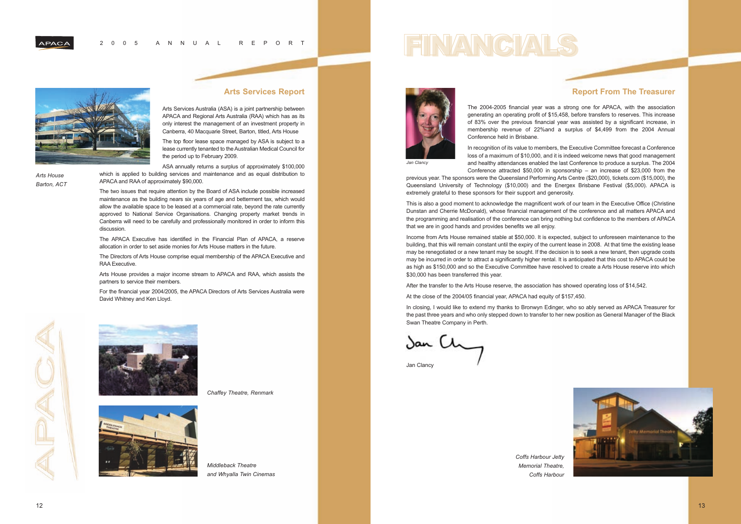#### 2 005 ANNUAL REPORT



# **Report From The Treasurer**



The 2004-2005 financial year was a strong one for APACA, with the association generating an operating profit of \$15,458, before transfers to reserves. This increase of 83% over the previous financial year was assisted by a significant increase, in membership revenue of 22%and a surplus of \$4,499 from the 2004 Annual Conference held in Brisbane.

This is also a good moment to acknowledge the magnificent work of our team in the Executive Office (Christine Dunstan and Cherrie McDonald), whose financial management of the conference and all matters APACA and the programming and realisation of the conference can bring nothing but confidence to the members of APACA that we are in good hands and provides benefits we all enjoy.

Income from Arts House remained stable at \$50,000. It is expected, subject to unforeseen maintenance to the building, that this will remain constant until the expiry of the current lease in 2008. At that time the existing lease may be renegotiated or a new tenant may be sought. If the decision is to seek a new tenant, then upgrade costs may be incurred in order to attract a significantly higher rental. It is anticipated that this cost to APACA could be as high as \$150,000 and so the Executive Committee have resolved to create a Arts House reserve into which \$30,000 has been transferred this year.

After the transfer to the Arts House reserve, the association has showed operating loss of \$14,542.

At the close of the 2004/05 financial year, APACA had equity of \$157,450.

In recognition of its value to members, the Executive Committee forecast a Conference loss of a maximum of \$10,000, and it is indeed welcome news that good management and healthy attendances enabled the last Conference to produce a surplus. The 2004 Conference attracted \$50,000 in sponsorship – an increase of \$23,000 from the previous year. The sponsors were the Queensland Performing Arts Centre (\$20,000), tickets.com (\$15,000), the Queensland University of Technology (\$10,000) and the Energex Brisbane Festival (\$5,000). APACA is extremely grateful to these sponsors for their support and generosity. *Jan Clancy*

In closing, I would like to extend my thanks to Bronwyn Edinger, who so ably served as APACA Treasurer for the past three years and who only stepped down to transfer to her new position as General Manager of the Black Swan Theatre Company in Perth.

Jan (h

Jan Clancy

*Middleback Theatre and Whyalla Twin Cinemas*



### **Arts Services Report**

Arts Services Australia (ASA) is a joint partnership between APACA and Regional Arts Australia (RAA) which has as its only interest the management of an investment property in Canberra, 40 Macquarie Street, Barton, titled, Arts House

The top floor lease space managed by ASA is subject to a lease currently tenanted to the Australian Medical Council for the period up to February 2009.

ASA annually returns a surplus of approximately \$100,000 which is applied to building services and maintenance and as equal distribution to APACA and RAA of approximately \$90,000.

The two issues that require attention by the Board of ASA include possible increased maintenance as the building nears six years of age and betterment tax, which would allow the available space to be leased at a commercial rate, beyond the rate currently approved to National Service Organisations. Changing property market trends in Canberra will need to be carefully and professionally monitored in order to inform this discussion.

The APACA Executive has identified in the Financial Plan of APACA, a reserve allocation in order to set aside monies for Arts House matters in the future.

The Directors of Arts House comprise equal membership of the APACA Executive and RAA Executive.

Arts House provides a major income stream to APACA and RAA, which assists the partners to service their members.

For the financial year 2004/2005, the APACA Directors of Arts Services Australia were David Whitney and Ken Lloyd.





*Chaffey Theatre, Renmark*



*Coffs Harbour Jetty Memorial Theatre, Coffs Harbour*

*Arts House Barton, ACT*

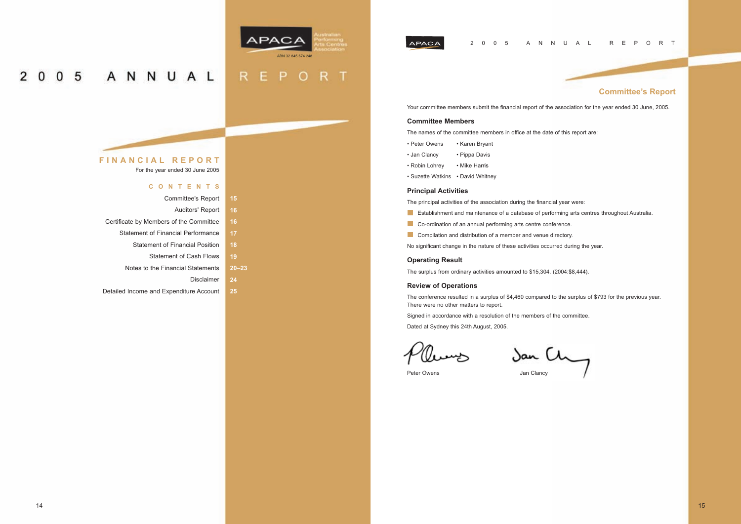# **FINANCIAL REPORT**

For the year ended 30 June 2005

### **CONTENTS**

| <b>Committee's Report</b>               | 15 |
|-----------------------------------------|----|
| Auditors' Report                        | 16 |
| Certificate by Members of the Committee | 16 |
| Statement of Financial Performance      | 17 |
| <b>Statement of Financial Position</b>  | 18 |
| <b>Statement of Cash Flows</b>          | 10 |

Notes to the Financial Statements

Detailed Income and Expenditure Account

Disclaimer **24**

**20–23**

 $R$ 

E

**25**

### 2 005 ANNUAL REPORT



O

 $R$ 

P



#### $0<sub>5</sub>$ ANNUAL  $\overline{2}$  $\mathbf{0}$

# **Committee's Report**

### Your committee members submit the financial report of the association for the year ended 30 June, 2005.

#### **Committee Members**

The names of the committee members in office at the date of this report are:

- Peter Owens Karen Bryant
- Jan Clancy Pippa Davis
- Robin Lohrey Mike Harris
- Suzette Watkins David Whitney

### **Principal Activities**

The principal activities of the association during the financial year were:

- **Example 1** Establishment and maintenance of a database of performing arts centres throughout Australia.
- Co-ordination of an annual performing arts centre conference.
- **Compilation and distribution of a member and venue directory.**

No significant change in the nature of these activities occurred during the year.

#### **Operating Result**

The surplus from ordinary activities amounted to \$15,304. (2004:\$8,444).

#### **Review of Operations**

The conference resulted in a surplus of \$4,460 compared to the surplus of \$793 for the previous year. There were no other matters to report.

Signed in accordance with a resolution of the members of the committee.

Dated at Sydney this 24th August, 2005.

Pleweys Jan Ch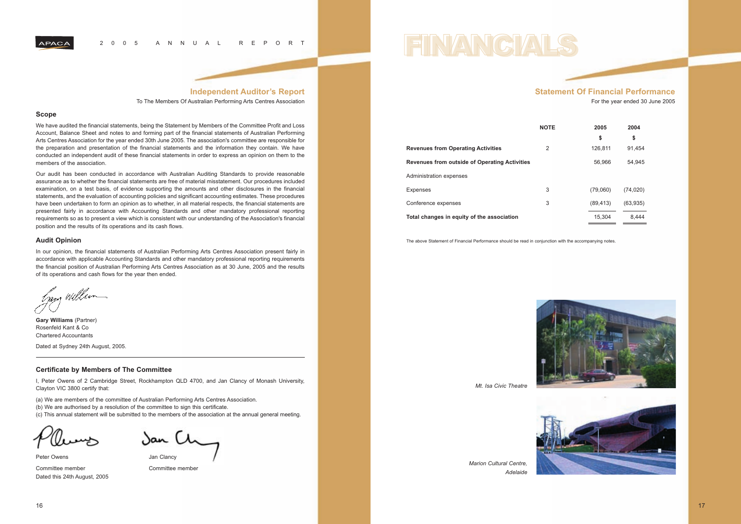#### 2 005 ANNUAL REPORT

### **Independent Auditor's Report**

To The Members Of Australian Performing Arts Centres Association

#### **Scope**

We have audited the financial statements, being the Statement by Members of the Committee Profit and Loss Account, Balance Sheet and notes to and forming part of the financial statements of Australian Performing Arts Centres Association for the year ended 30th June 2005. The association's committee are responsible for the preparation and presentation of the financial statements and the information they contain. We have conducted an independent audit of these financial statements in order to express an opinion on them to the members of the association.

In our opinion, the financial statements of Australian Performing Arts Centres Association present fairly in accordance with applicable Accounting Standards and other mandatory professional reporting requirements the financial position of Australian Performing Arts Centres Association as at 30 June, 2005 and the results of its operations and cash flows for the year then ended.

Lang William

Our audit has been conducted in accordance with Australian Auditing Standards to provide reasonable assurance as to whether the financial statements are free of material misstatement. Our procedures included examination, on a test basis, of evidence supporting the amounts and other disclosures in the financial statements, and the evaluation of accounting policies and significant accounting estimates. These procedures have been undertaken to form an opinion as to whether, in all material respects, the financial statements are presented fairly in accordance with Accounting Standards and other mandatory professional reporting requirements so as to present a view which is consistent with our understanding of the Association's financial position and the results of its operations and its cash flows.

Peter Owens **Deter Owens** Jan Clancy Committee member Committee member Dated this 24th August, 2005



#### **Audit Opinion**

**Gary Williams** (Partner) Rosenfeld Kant & Co Chartered Accountants

Dated at Sydney 24th August, 2005.

#### **Certificate by Members of The Committee**

I, Peter Owens of 2 Cambridge Street, Rockhampton QLD 4700, and Jan Clancy of Monash University, Clayton VIC 3800 certify that:

- (a) We are members of the committee of Australian Performing Arts Centres Association.
- (b) We are authorised by a resolution of the committee to sign this certificate.

(c) This annual statement will be submitted to the members of the association at the annual general meeting.

# **Statement Of Financial Performance**

For the year ended 30 June 2005

#### **NOTE 2005 2004**

| 2005      | 2004      |
|-----------|-----------|
| \$        | \$        |
| 126.811   | 91.454    |
| 56.966    | 54,945    |
| (79,060)  | (74,020)  |
| (89, 413) | (63, 935) |
| 15,304    | 8.444     |



| <b>Revenues from Operating Activities</b>            | 2 | 126.811  | 91.454    |
|------------------------------------------------------|---|----------|-----------|
| <b>Revenues from outside of Operating Activities</b> |   | 56.966   | 54.945    |
| Administration expenses                              |   |          |           |
| <b>Expenses</b>                                      | 3 | (79.060) | (74, 020) |
| Conference expenses                                  | 3 | (89.413) | (63,935)  |
| Total changes in equity of the association           |   | 15.304   | 8.444     |

The above Statement of Financial Performance should be read in conjunction with the accompanying notes.





*Marion Cultural Centre, Adelaide*

*Mt. Isa Civic Theatre*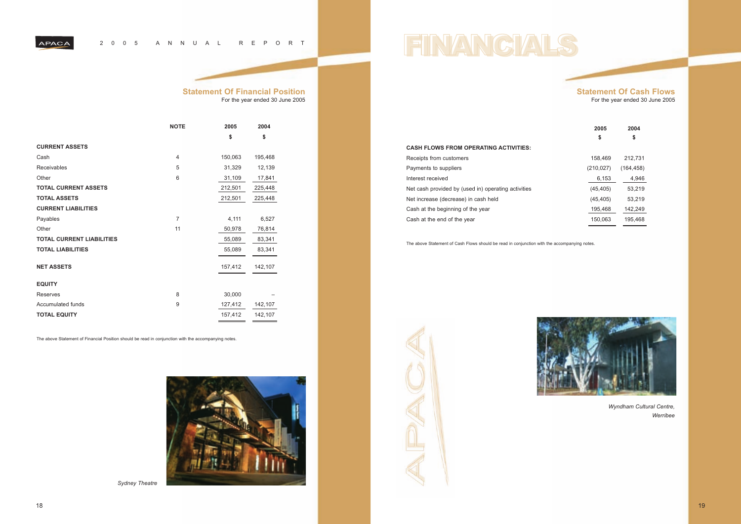#### 2 005 ANNUAL REPORT

# **Statement Of Financial Position**

For the year ended 30 June 2005

|                                  | <b>NOTE</b>    | 2005    | 2004    |
|----------------------------------|----------------|---------|---------|
|                                  |                | \$      | \$      |
| <b>CURRENT ASSETS</b>            |                |         |         |
| Cash                             | $\overline{4}$ | 150,063 | 195,468 |
| <b>Receivables</b>               | 5              | 31,329  | 12,139  |
| Other                            | 6              | 31,109  | 17,841  |
| <b>TOTAL CURRENT ASSETS</b>      |                | 212,501 | 225,448 |
| <b>TOTAL ASSETS</b>              |                | 212,501 | 225,448 |
| <b>CURRENT LIABILITIES</b>       |                |         |         |
| Payables                         | $\overline{7}$ | 4,111   | 6,527   |
| Other                            | 11             | 50,978  | 76,814  |
| <b>TOTAL CURRENT LIABILITIES</b> |                | 55,089  | 83,341  |
| <b>TOTAL LIABILITIES</b>         |                | 55,089  | 83,341  |
| <b>NET ASSETS</b>                |                | 157,412 | 142,107 |
| <b>EQUITY</b>                    |                |         |         |
| <b>Reserves</b>                  | 8              | 30,000  |         |
| <b>Accumulated funds</b>         | 9              | 127,412 | 142,107 |
| <b>TOTAL EQUITY</b>              |                | 157,412 | 142,107 |

**2005 2004 \$ \$** Net cash provided by (used in) operating activities (45,405) 53,219

The above Statement of Financial Position should be read in conjunction with the accompanying notes.



### **Statement Of Cash Flows** For the year ended 30 June 2005

### **CASH FLOWS FROM OPERATING ACTIVITIES:**

Receipts from customers and the state of the 158,469 212,731 Payments to suppliers (210,027) (164,458) Interest received 6,153 4,946

Net increase (decrease) in cash held (45,405) 53,219

Cash at the beginning of the year 195,468 142,249

Cash at the end of the year 150,063 195,468

The above Statement of Cash Flows should be read in conjunction with the accompanying notes.







*Wyndham Cultural Centre, Werribee*

*Sydney Theatre*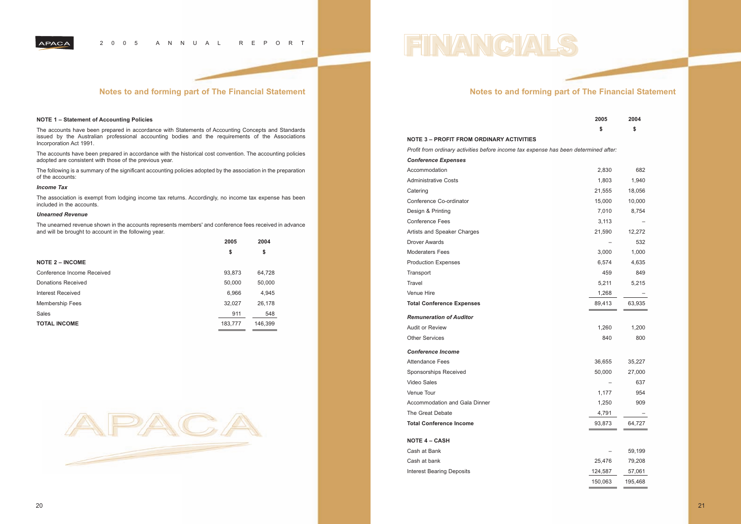#### 2 005 ANNUAL REPORT

# **Notes to and forming part of The Financial Statement**

#### **NOTE 1 – Statement of Accounting Policies**

The accounts have been prepared in accordance with Statements of Accounting Concepts and Standards issued by the Australian professional accounting bodies and the requirements of the Associations Incorporation Act 1991.

The accounts have been prepared in accordance with the historical cost convention. The accounting policies adopted are consistent with those of the previous year.

The following is a summary of the significant accounting policies adopted by the association in the preparation of the accounts:

*Profit from ordinary activities before income tax expense has been determined after: Conference Expenses* Accommodation Administrative Costs Catering 21,555 18,056 Conference Co-ordinator Design & Printing Conference Fees Artists and Speaker Charges Drover Awards Moderaters Fees Production Expenses Transport 459 849 Travel 5,211 5,215 Venue Hire **Total Conference Expenses** *Remuneration of Auditor* Audit or Review Other Services *Conference Income* Attendance Fees Sponsorships Received Video Sales Venue Tour Accommodation and Gala Dinner The Great Debate **Total Conference Income NOTE 4 – CASH** Cash at Bank Cash at bank Interest Bearing Deposits

#### *Income Tax*

The association is exempt from lodging income tax returns. Accordingly, no income tax expense has been included in the accounts.

#### *Unearned Revenue*

The unearned revenue shown in the accounts represents members' and conference fees received in advance and will be brought to account in the following year.

|                            | 2005    | 2004    |
|----------------------------|---------|---------|
|                            | \$      | \$      |
| <b>NOTE 2 – INCOME</b>     |         |         |
| Conference Income Received | 93,873  | 64,728  |
| Donations Received         | 50,000  | 50,000  |
| Interest Received          | 6,966   | 4,945   |
| Membership Fees            | 32,027  | 26,178  |
| Sales                      | 911     | 548     |
| <b>TOTAL INCOME</b>        | 183,777 | 146,399 |



# **Notes to and forming part of The Financial Statement**

| 2005 | 2004 |
|------|------|
| \$   | \$   |
|      |      |

#### **NOTE 3 – PROFIT FROM ORDINARY ACTIVITIES**

| 2,830   | 682     |
|---------|---------|
| 1,803   | 1,940   |
| 21,555  | 18,056  |
| 15,000  | 10,000  |
| 7,010   | 8,754   |
| 3,113   |         |
| 21,590  | 12,272  |
|         | 532     |
| 3,000   | 1,000   |
| 6,574   | 4,635   |
| 459     | 849     |
| 5,211   | 5,215   |
| 1,268   |         |
| 89,413  | 63,935  |
|         |         |
| 1,260   | 1,200   |
| 840     | 800     |
|         |         |
| 36,655  | 35,227  |
| 50,000  | 27,000  |
|         | 637     |
| 1,177   | 954     |
| 1,250   | 909     |
| 4,791   |         |
| 93,873  | 64,727  |
|         |         |
|         | 59,199  |
| 25,476  | 79,208  |
| 124,587 | 57,061  |
| 150,063 | 195,468 |
|         |         |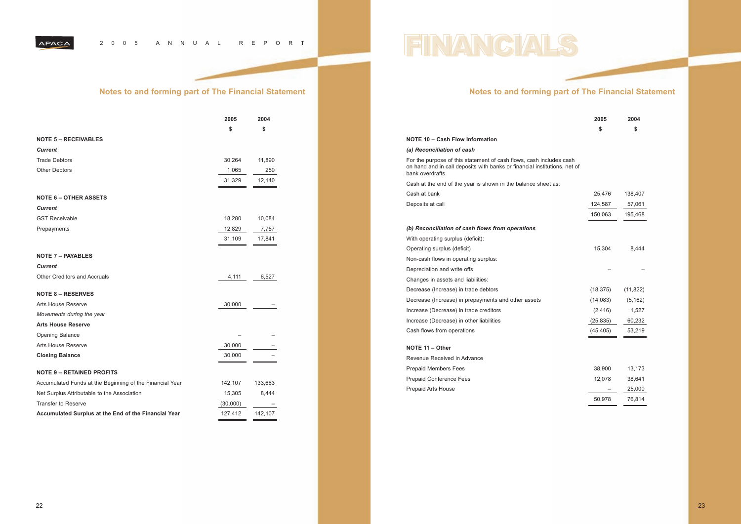#### 2 005 ANNUAL REPORT

# **Notes to and forming part of The Financial Statement**

#### **NOTE 10 – Cash Flow Information**

#### *(a) Reconciliation of cash*

For the purpose of this statement of cash flows, cash includes cash on hand and in call deposits with banks or financial institutions, net bank overdrafts.

Cash at the end of the year is shown in the balance sheet as:

Cash at bank

Deposits at call

*(b) Reconciliation of cash flows from operations*

Decrease (Increase) in trade debtors Decrease (Increase) in prepayments and other assets Increase (Decrease) in trade creditors Increase (Decrease) in other liabilities Cash flows from operations

Revenue Received in Advance Prepaid Members Fees Prepaid Conference Fees Prepaid Arts House

# With operating surplus (deficit): Operating surplus (deficit) Non-cash flows in operating surplus: Depreciation and write offs Changes in assets and liabilities:

|            | 2005<br>\$                   | 2004<br>\$                   |
|------------|------------------------------|------------------------------|
| ۱h<br>t of |                              |                              |
|            | 25,476<br>124,587<br>150,063 | 138,407<br>57,061<br>195,468 |
|            |                              |                              |
|            | 15,304                       | 8,444                        |
|            |                              |                              |
|            | (18, 375)                    | (11, 822)                    |
|            | (14, 083)                    | (5, 162)                     |
|            | (2, 416)                     | 1,527                        |
|            | (25, 835)                    | 60,232                       |
|            | (45, 405)                    | 53,219                       |
|            |                              |                              |
|            | 38,900                       | 13,173                       |
|            | 12,078                       | 38,641                       |
|            |                              | 25,000                       |
|            | 50,978                       | 76,814                       |
|            |                              |                              |

#### **NOTE 11 – Other**

# **Notes to and forming part of The Financial Statement**

|                                                          | 2005     | 2004    |
|----------------------------------------------------------|----------|---------|
|                                                          | \$       | \$      |
| <b>NOTE 5 - RECEIVABLES</b>                              |          |         |
| <b>Current</b>                                           |          |         |
| <b>Trade Debtors</b>                                     | 30,264   | 11,890  |
| <b>Other Debtors</b>                                     | 1,065    | 250     |
|                                                          | 31,329   | 12,140  |
| <b>NOTE 6 - OTHER ASSETS</b>                             |          |         |
| <b>Current</b>                                           |          |         |
| <b>GST Receivable</b>                                    | 18,280   | 10,084  |
| Prepayments                                              | 12,829   | 7,757   |
|                                                          | 31,109   | 17,841  |
| <b>NOTE 7 - PAYABLES</b>                                 |          |         |
| <b>Current</b>                                           |          |         |
| <b>Other Creditors and Accruals</b>                      | 4,111    | 6,527   |
| <b>NOTE 8 - RESERVES</b>                                 |          |         |
| <b>Arts House Reserve</b>                                | 30,000   |         |
| Movements during the year                                |          |         |
| <b>Arts House Reserve</b>                                |          |         |
| Opening Balance                                          |          |         |
| Arts House Reserve                                       | 30,000   |         |
| <b>Closing Balance</b>                                   | 30,000   |         |
| <b>NOTE 9 - RETAINED PROFITS</b>                         |          |         |
| Accumulated Funds at the Beginning of the Financial Year | 142,107  | 133,663 |
| Net Surplus Attributable to the Association              | 15,305   | 8,444   |
| <b>Transfer to Reserve</b>                               | (30,000) |         |
| Accumulated Surplus at the End of the Financial Year     | 127,412  | 142,107 |